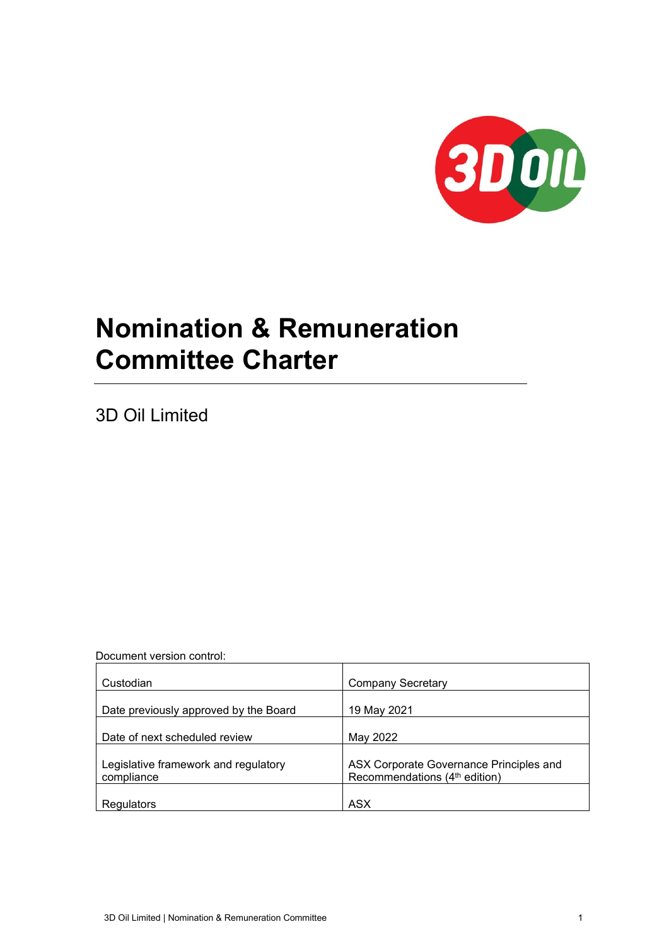

# **Nomination & Remuneration Committee Charter**

3D Oil Limited

Document version control:

| Custodian                                          | <b>Company Secretary</b>                                                             |
|----------------------------------------------------|--------------------------------------------------------------------------------------|
| Date previously approved by the Board              | 19 May 2021                                                                          |
| Date of next scheduled review                      | May 2022                                                                             |
| Legislative framework and regulatory<br>compliance | ASX Corporate Governance Principles and<br>Recommendations (4 <sup>th</sup> edition) |
| Regulators                                         | <b>ASX</b>                                                                           |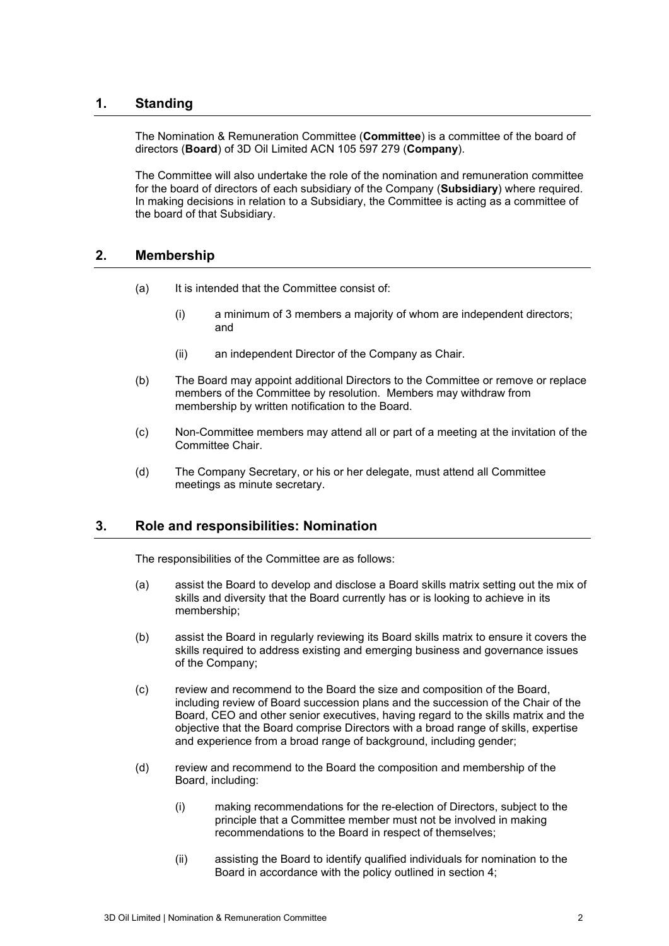## **1. Standing**

The Nomination & Remuneration Committee (**Committee**) is a committee of the board of directors (**Board**) of 3D Oil Limited ACN 105 597 279 (**Company**).

The Committee will also undertake the role of the nomination and remuneration committee for the board of directors of each subsidiary of the Company (**Subsidiary**) where required. In making decisions in relation to a Subsidiary, the Committee is acting as a committee of the board of that Subsidiary.

## **2. Membership**

- (a) It is intended that the Committee consist of:
	- (i) a minimum of 3 members a majority of whom are independent directors; and
	- (ii) an independent Director of the Company as Chair.
- (b) The Board may appoint additional Directors to the Committee or remove or replace members of the Committee by resolution. Members may withdraw from membership by written notification to the Board.
- (c) Non-Committee members may attend all or part of a meeting at the invitation of the Committee Chair.
- (d) The Company Secretary, or his or her delegate, must attend all Committee meetings as minute secretary.

## **3. Role and responsibilities: Nomination**

The responsibilities of the Committee are as follows:

- (a) assist the Board to develop and disclose a Board skills matrix setting out the mix of skills and diversity that the Board currently has or is looking to achieve in its membership;
- (b) assist the Board in regularly reviewing its Board skills matrix to ensure it covers the skills required to address existing and emerging business and governance issues of the Company;
- (c) review and recommend to the Board the size and composition of the Board, including review of Board succession plans and the succession of the Chair of the Board, CEO and other senior executives, having regard to the skills matrix and the objective that the Board comprise Directors with a broad range of skills, expertise and experience from a broad range of background, including gender;
- (d) review and recommend to the Board the composition and membership of the Board, including:
	- (i) making recommendations for the re-election of Directors, subject to the principle that a Committee member must not be involved in making recommendations to the Board in respect of themselves;
	- (ii) assisting the Board to identify qualified individuals for nomination to the Board in accordance with the policy outlined in section [4;](#page-2-0)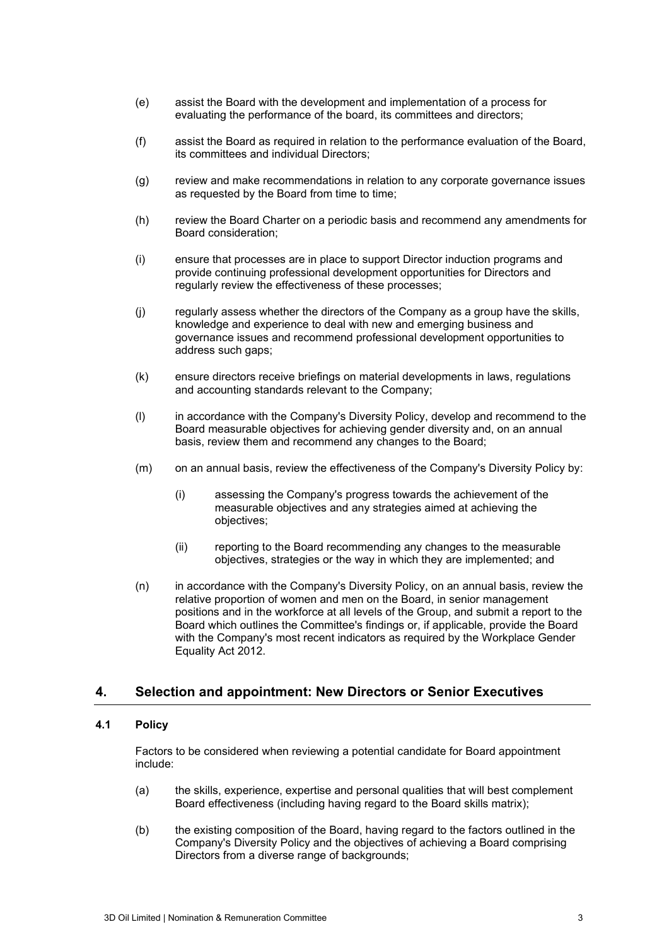- (e) assist the Board with the development and implementation of a process for evaluating the performance of the board, its committees and directors;
- (f) assist the Board as required in relation to the performance evaluation of the Board, its committees and individual Directors;
- (g) review and make recommendations in relation to any corporate governance issues as requested by the Board from time to time;
- (h) review the Board Charter on a periodic basis and recommend any amendments for Board consideration;
- (i) ensure that processes are in place to support Director induction programs and provide continuing professional development opportunities for Directors and regularly review the effectiveness of these processes;
- (j) regularly assess whether the directors of the Company as a group have the skills, knowledge and experience to deal with new and emerging business and governance issues and recommend professional development opportunities to address such gaps;
- (k) ensure directors receive briefings on material developments in laws, regulations and accounting standards relevant to the Company;
- (l) in accordance with the Company's Diversity Policy, develop and recommend to the Board measurable objectives for achieving gender diversity and, on an annual basis, review them and recommend any changes to the Board;
- (m) on an annual basis, review the effectiveness of the Company's Diversity Policy by:
	- (i) assessing the Company's progress towards the achievement of the measurable objectives and any strategies aimed at achieving the objectives;
	- (ii) reporting to the Board recommending any changes to the measurable objectives, strategies or the way in which they are implemented; and
- (n) in accordance with the Company's Diversity Policy, on an annual basis, review the relative proportion of women and men on the Board, in senior management positions and in the workforce at all levels of the Group, and submit a report to the Board which outlines the Committee's findings or, if applicable, provide the Board with the Company's most recent indicators as required by the Workplace Gender Equality Act 2012.

## <span id="page-2-0"></span>**4. Selection and appointment: New Directors or Senior Executives**

#### **4.1 Policy**

Factors to be considered when reviewing a potential candidate for Board appointment include:

- (a) the skills, experience, expertise and personal qualities that will best complement Board effectiveness (including having regard to the Board skills matrix);
- (b) the existing composition of the Board, having regard to the factors outlined in the Company's Diversity Policy and the objectives of achieving a Board comprising Directors from a diverse range of backgrounds;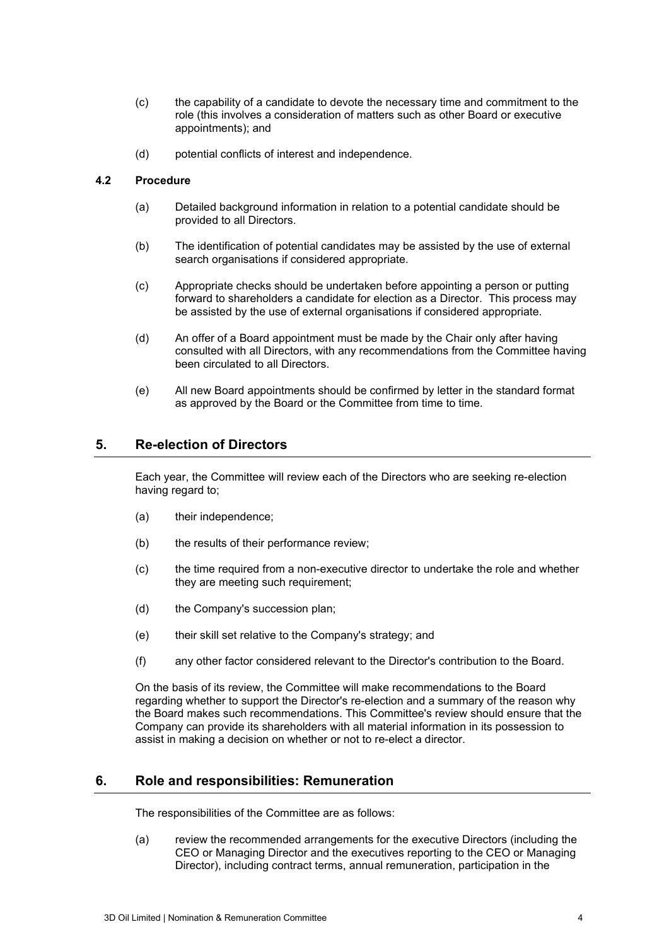- (c) the capability of a candidate to devote the necessary time and commitment to the role (this involves a consideration of matters such as other Board or executive appointments); and
- (d) potential conflicts of interest and independence.

### **4.2 Procedure**

- (a) Detailed background information in relation to a potential candidate should be provided to all Directors.
- (b) The identification of potential candidates may be assisted by the use of external search organisations if considered appropriate.
- (c) Appropriate checks should be undertaken before appointing a person or putting forward to shareholders a candidate for election as a Director. This process may be assisted by the use of external organisations if considered appropriate.
- (d) An offer of a Board appointment must be made by the Chair only after having consulted with all Directors, with any recommendations from the Committee having been circulated to all Directors.
- (e) All new Board appointments should be confirmed by letter in the standard format as approved by the Board or the Committee from time to time.

## **5. Re-election of Directors**

Each year, the Committee will review each of the Directors who are seeking re-election having regard to;

- (a) their independence;
- (b) the results of their performance review;
- (c) the time required from a non-executive director to undertake the role and whether they are meeting such requirement;
- (d) the Company's succession plan;
- (e) their skill set relative to the Company's strategy; and
- (f) any other factor considered relevant to the Director's contribution to the Board.

On the basis of its review, the Committee will make recommendations to the Board regarding whether to support the Director's re-election and a summary of the reason why the Board makes such recommendations. This Committee's review should ensure that the Company can provide its shareholders with all material information in its possession to assist in making a decision on whether or not to re-elect a director.

## **6. Role and responsibilities: Remuneration**

The responsibilities of the Committee are as follows:

(a) review the recommended arrangements for the executive Directors (including the CEO or Managing Director and the executives reporting to the CEO or Managing Director), including contract terms, annual remuneration, participation in the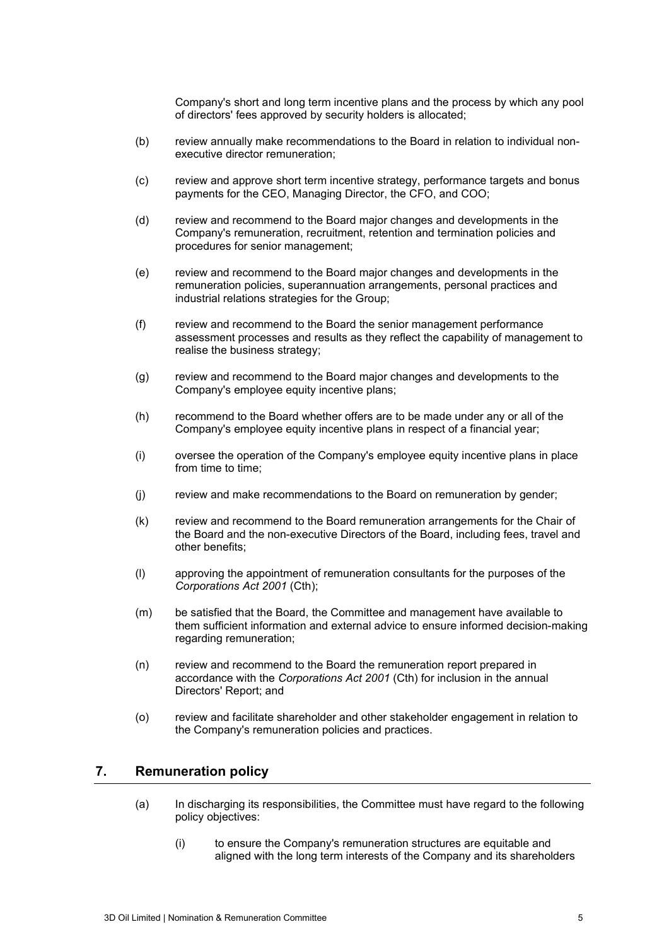Company's short and long term incentive plans and the process by which any pool of directors' fees approved by security holders is allocated;

- (b) review annually make recommendations to the Board in relation to individual nonexecutive director remuneration;
- (c) review and approve short term incentive strategy, performance targets and bonus payments for the CEO, Managing Director, the CFO, and COO;
- (d) review and recommend to the Board major changes and developments in the Company's remuneration, recruitment, retention and termination policies and procedures for senior management;
- (e) review and recommend to the Board major changes and developments in the remuneration policies, superannuation arrangements, personal practices and industrial relations strategies for the Group;
- (f) review and recommend to the Board the senior management performance assessment processes and results as they reflect the capability of management to realise the business strategy;
- (g) review and recommend to the Board major changes and developments to the Company's employee equity incentive plans;
- (h) recommend to the Board whether offers are to be made under any or all of the Company's employee equity incentive plans in respect of a financial year;
- (i) oversee the operation of the Company's employee equity incentive plans in place from time to time;
- (j) review and make recommendations to the Board on remuneration by gender;
- (k) review and recommend to the Board remuneration arrangements for the Chair of the Board and the non-executive Directors of the Board, including fees, travel and other benefits;
- (l) approving the appointment of remuneration consultants for the purposes of the *Corporations Act 2001* (Cth);
- (m) be satisfied that the Board, the Committee and management have available to them sufficient information and external advice to ensure informed decision-making regarding remuneration;
- (n) review and recommend to the Board the remuneration report prepared in accordance with the *Corporations Act 2001* (Cth) for inclusion in the annual Directors' Report; and
- (o) review and facilitate shareholder and other stakeholder engagement in relation to the Company's remuneration policies and practices.

## **7. Remuneration policy**

- (a) In discharging its responsibilities, the Committee must have regard to the following policy objectives:
	- (i) to ensure the Company's remuneration structures are equitable and aligned with the long term interests of the Company and its shareholders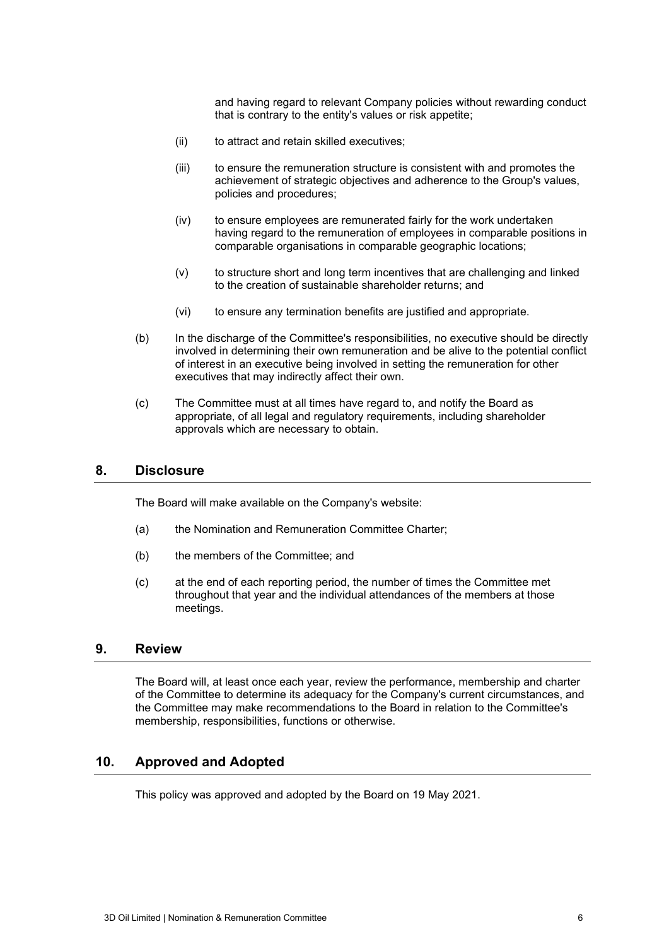and having regard to relevant Company policies without rewarding conduct that is contrary to the entity's values or risk appetite;

- (ii) to attract and retain skilled executives;
- (iii) to ensure the remuneration structure is consistent with and promotes the achievement of strategic objectives and adherence to the Group's values, policies and procedures;
- (iv) to ensure employees are remunerated fairly for the work undertaken having regard to the remuneration of employees in comparable positions in comparable organisations in comparable geographic locations;
- (v) to structure short and long term incentives that are challenging and linked to the creation of sustainable shareholder returns; and
- (vi) to ensure any termination benefits are justified and appropriate.
- (b) In the discharge of the Committee's responsibilities, no executive should be directly involved in determining their own remuneration and be alive to the potential conflict of interest in an executive being involved in setting the remuneration for other executives that may indirectly affect their own.
- (c) The Committee must at all times have regard to, and notify the Board as appropriate, of all legal and regulatory requirements, including shareholder approvals which are necessary to obtain.

## **8. Disclosure**

The Board will make available on the Company's website:

- (a) the Nomination and Remuneration Committee Charter;
- (b) the members of the Committee; and
- (c) at the end of each reporting period, the number of times the Committee met throughout that year and the individual attendances of the members at those meetings.

## **9. Review**

The Board will, at least once each year, review the performance, membership and charter of the Committee to determine its adequacy for the Company's current circumstances, and the Committee may make recommendations to the Board in relation to the Committee's membership, responsibilities, functions or otherwise.

## **10. Approved and Adopted**

This policy was approved and adopted by the Board on 19 May 2021.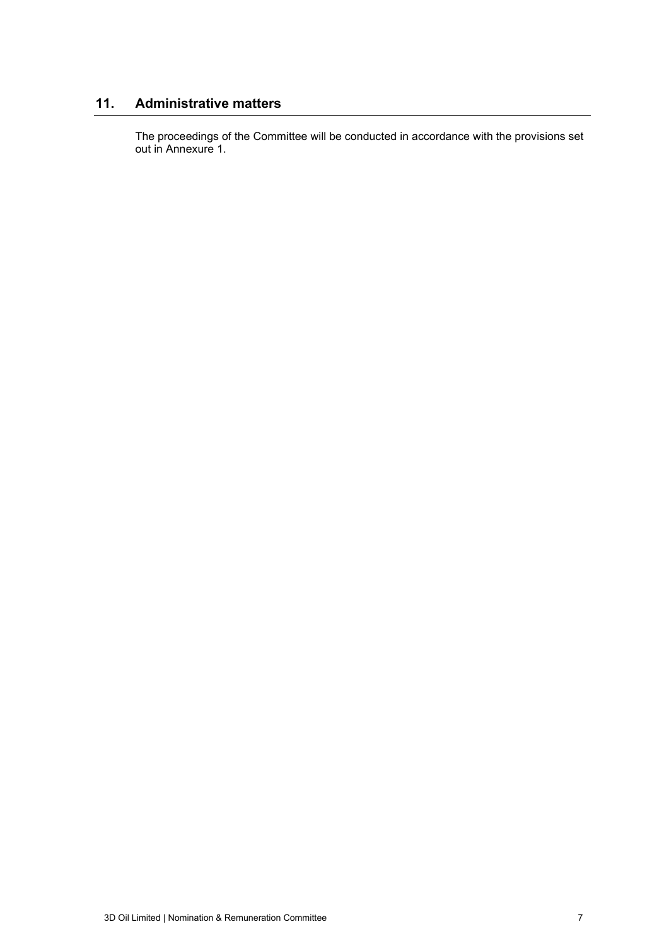# **11. Administrative matters**

The proceedings of the Committee will be conducted in accordance with the provisions set out in Annexure [1.](#page-7-0)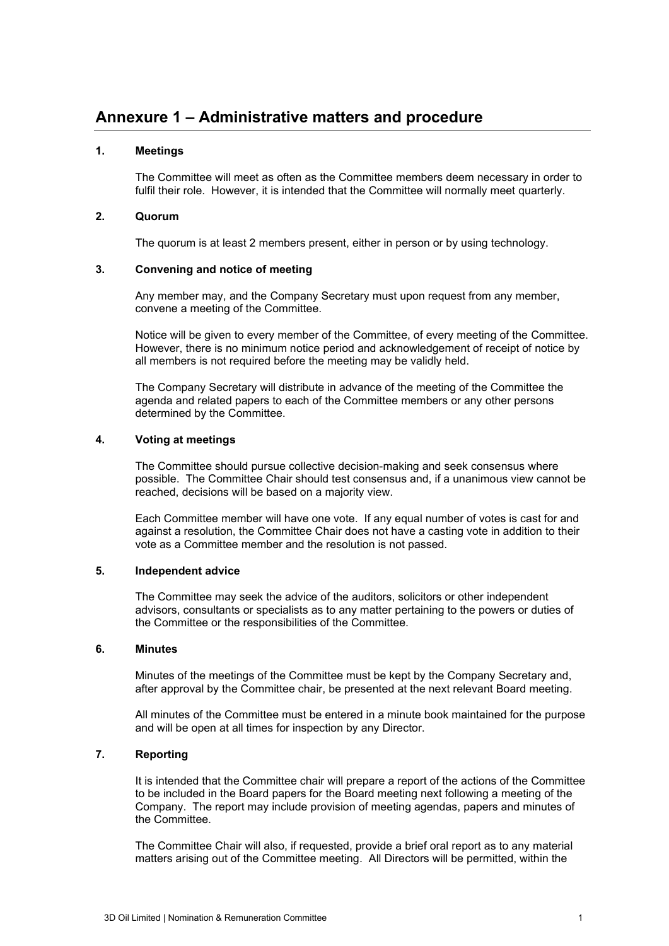# <span id="page-7-0"></span>**Annexure 1 – Administrative matters and procedure**

#### **1. Meetings**

The Committee will meet as often as the Committee members deem necessary in order to fulfil their role. However, it is intended that the Committee will normally meet quarterly.

#### **2. Quorum**

The quorum is at least 2 members present, either in person or by using technology.

#### **3. Convening and notice of meeting**

Any member may, and the Company Secretary must upon request from any member, convene a meeting of the Committee.

Notice will be given to every member of the Committee, of every meeting of the Committee. However, there is no minimum notice period and acknowledgement of receipt of notice by all members is not required before the meeting may be validly held.

The Company Secretary will distribute in advance of the meeting of the Committee the agenda and related papers to each of the Committee members or any other persons determined by the Committee.

### **4. Voting at meetings**

The Committee should pursue collective decision-making and seek consensus where possible. The Committee Chair should test consensus and, if a unanimous view cannot be reached, decisions will be based on a majority view.

Each Committee member will have one vote. If any equal number of votes is cast for and against a resolution, the Committee Chair does not have a casting vote in addition to their vote as a Committee member and the resolution is not passed.

#### **5. Independent advice**

The Committee may seek the advice of the auditors, solicitors or other independent advisors, consultants or specialists as to any matter pertaining to the powers or duties of the Committee or the responsibilities of the Committee.

#### **6. Minutes**

Minutes of the meetings of the Committee must be kept by the Company Secretary and, after approval by the Committee chair, be presented at the next relevant Board meeting.

All minutes of the Committee must be entered in a minute book maintained for the purpose and will be open at all times for inspection by any Director.

#### **7. Reporting**

It is intended that the Committee chair will prepare a report of the actions of the Committee to be included in the Board papers for the Board meeting next following a meeting of the Company. The report may include provision of meeting agendas, papers and minutes of the Committee.

The Committee Chair will also, if requested, provide a brief oral report as to any material matters arising out of the Committee meeting. All Directors will be permitted, within the